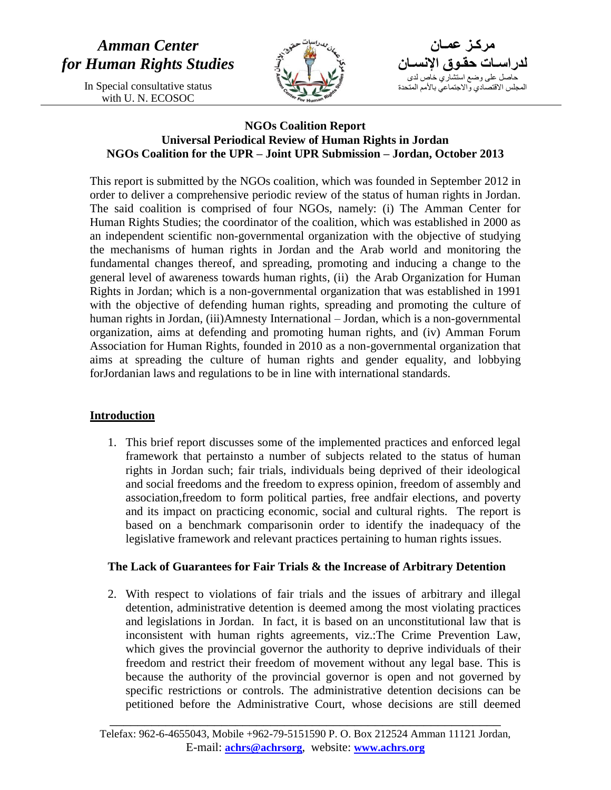

**مركـز عمـان لدراسـات حقـوق اإلنسـان** حاصل على وضع استشاري خاص لدى المجلس الاقتصادي والاجتماعي بالأمم المتحدة

## **NGOs Coalition Report Universal Periodical Review of Human Rights in Jordan NGOs Coalition for the UPR – Joint UPR Submission – Jordan, October 2013**

This report is submitted by the NGOs coalition, which was founded in September 2012 in order to deliver a comprehensive periodic review of the status of human rights in Jordan. The said coalition is comprised of four NGOs, namely: (i) The Amman Center for Human Rights Studies; the coordinator of the coalition, which was established in 2000 as an independent scientific non-governmental organization with the objective of studying the mechanisms of human rights in Jordan and the Arab world and monitoring the fundamental changes thereof, and spreading, promoting and inducing a change to the general level of awareness towards human rights, (ii) the Arab Organization for Human Rights in Jordan; which is a non-governmental organization that was established in 1991 with the objective of defending human rights, spreading and promoting the culture of human rights in Jordan, (iii)Amnesty International – Jordan, which is a non-governmental organization, aims at defending and promoting human rights, and (iv) Amman Forum Association for Human Rights, founded in 2010 as a non-governmental organization that aims at spreading the culture of human rights and gender equality, and lobbying forJordanian laws and regulations to be in line with international standards.

## **Introduction**

1. This brief report discusses some of the implemented practices and enforced legal framework that pertainsto a number of subjects related to the status of human rights in Jordan such; fair trials, individuals being deprived of their ideological and social freedoms and the freedom to express opinion, freedom of assembly and association,freedom to form political parties, free andfair elections, and poverty and its impact on practicing economic, social and cultural rights. The report is based on a benchmark comparisonin order to identify the inadequacy of the legislative framework and relevant practices pertaining to human rights issues.

## **The Lack of Guarantees for Fair Trials & the Increase of Arbitrary Detention**

2. With respect to violations of fair trials and the issues of arbitrary and illegal detention, administrative detention is deemed among the most violating practices and legislations in Jordan. In fact, it is based on an unconstitutional law that is inconsistent with human rights agreements, viz.:The Crime Prevention Law, which gives the provincial governor the authority to deprive individuals of their freedom and restrict their freedom of movement without any legal base. This is because the authority of the provincial governor is open and not governed by specific restrictions or controls. The administrative detention decisions can be petitioned before the Administrative Court, whose decisions are still deemed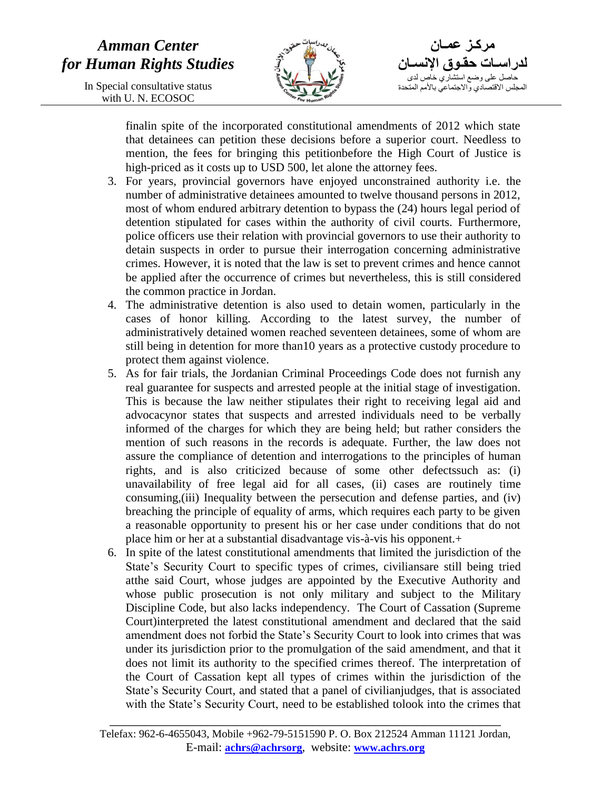# *Amman Center for Human Rights Studies*

In Special consultative status with U. N. ECOSOC



**مركـز عمـان لدراسـات حقـوق اإلنسـان** حاصل على وضع استشاري خاص لدى المجلس الاقتصادي والاجتماعي بالأمم المتحدة

finalin spite of the incorporated constitutional amendments of 2012 which state that detainees can petition these decisions before a superior court. Needless to mention, the fees for bringing this petitionbefore the High Court of Justice is high-priced as it costs up to USD 500, let alone the attorney fees.

- 3. For years, provincial governors have enjoyed unconstrained authority i.e. the number of administrative detainees amounted to twelve thousand persons in 2012, most of whom endured arbitrary detention to bypass the (24) hours legal period of detention stipulated for cases within the authority of civil courts. Furthermore, police officers use their relation with provincial governors to use their authority to detain suspects in order to pursue their interrogation concerning administrative crimes. However, it is noted that the law is set to prevent crimes and hence cannot be applied after the occurrence of crimes but nevertheless, this is still considered the common practice in Jordan.
- 4. The administrative detention is also used to detain women, particularly in the cases of honor killing. According to the latest survey, the number of administratively detained women reached seventeen detainees, some of whom are still being in detention for more than10 years as a protective custody procedure to protect them against violence.
- 5. As for fair trials, the Jordanian Criminal Proceedings Code does not furnish any real guarantee for suspects and arrested people at the initial stage of investigation. This is because the law neither stipulates their right to receiving legal aid and advocacynor states that suspects and arrested individuals need to be verbally informed of the charges for which they are being held; but rather considers the mention of such reasons in the records is adequate. Further, the law does not assure the compliance of detention and interrogations to the principles of human rights, and is also criticized because of some other defectssuch as: (i) unavailability of free legal aid for all cases, (ii) cases are routinely time consuming,(iii) Inequality between the persecution and defense parties, and (iv) breaching the principle of equality of arms, which requires each party to be given a reasonable opportunity to present his or her case under conditions that do not place him or her at a substantial disadvantage vis-à-vis his opponent.+
- 6. In spite of the latest constitutional amendments that limited the jurisdiction of the State's Security Court to specific types of crimes, civiliansare still being tried atthe said Court, whose judges are appointed by the Executive Authority and whose public prosecution is not only military and subject to the Military Discipline Code, but also lacks independency. The Court of Cassation (Supreme Court)interpreted the latest constitutional amendment and declared that the said amendment does not forbid the State's Security Court to look into crimes that was under its jurisdiction prior to the promulgation of the said amendment, and that it does not limit its authority to the specified crimes thereof. The interpretation of the Court of Cassation kept all types of crimes within the jurisdiction of the State's Security Court, and stated that a panel of civilianjudges, that is associated with the State's Security Court, need to be established tolook into the crimes that

Telefax: 962-6-4655043, Mobile +962-79-5151590 P. O. Box 212524 Amman 11121 Jordan, E-mail: **achrs@achrsorg**, website: **www.achrs.org**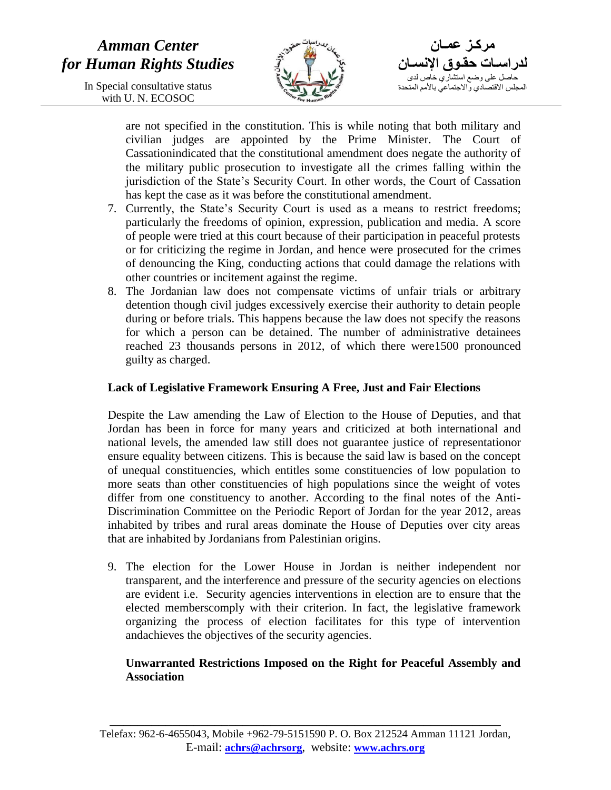# *Amman Center for Human Rights Studies*

In Special consultative status with U. N. ECOSOC



**مركـز عمـان لدراسـات حقـوق اإلنسـان** حاصل على وضع استشاري خاص لدى المجلس الاقتصادي والاجتماعي بالأمم المتحدة

are not specified in the constitution. This is while noting that both military and civilian judges are appointed by the Prime Minister. The Court of Cassationindicated that the constitutional amendment does negate the authority of the military public prosecution to investigate all the crimes falling within the jurisdiction of the State's Security Court. In other words, the Court of Cassation has kept the case as it was before the constitutional amendment.

- 7. Currently, the State's Security Court is used as a means to restrict freedoms; particularly the freedoms of opinion, expression, publication and media. A score of people were tried at this court because of their participation in peaceful protests or for criticizing the regime in Jordan, and hence were prosecuted for the crimes of denouncing the King, conducting actions that could damage the relations with other countries or incitement against the regime.
- 8. The Jordanian law does not compensate victims of unfair trials or arbitrary detention though civil judges excessively exercise their authority to detain people during or before trials. This happens because the law does not specify the reasons for which a person can be detained. The number of administrative detainees reached 23 thousands persons in 2012, of which there were1500 pronounced guilty as charged.

### **Lack of Legislative Framework Ensuring A Free, Just and Fair Elections**

Despite the Law amending the Law of Election to the House of Deputies, and that Jordan has been in force for many years and criticized at both international and national levels, the amended law still does not guarantee justice of representationor ensure equality between citizens. This is because the said law is based on the concept of unequal constituencies, which entitles some constituencies of low population to more seats than other constituencies of high populations since the weight of votes differ from one constituency to another. According to the final notes of the Anti-Discrimination Committee on the Periodic Report of Jordan for the year 2012, areas inhabited by tribes and rural areas dominate the House of Deputies over city areas that are inhabited by Jordanians from Palestinian origins.

9. The election for the Lower House in Jordan is neither independent nor transparent, and the interference and pressure of the security agencies on elections are evident i.e. Security agencies interventions in election are to ensure that the elected memberscomply with their criterion. In fact, the legislative framework organizing the process of election facilitates for this type of intervention andachieves the objectives of the security agencies.

### **Unwarranted Restrictions Imposed on the Right for Peaceful Assembly and Association**

Telefax: 962-6-4655043, Mobile +962-79-5151590 P. O. Box 212524 Amman 11121 Jordan, E-mail: **achrs@achrsorg**, website: **www.achrs.org**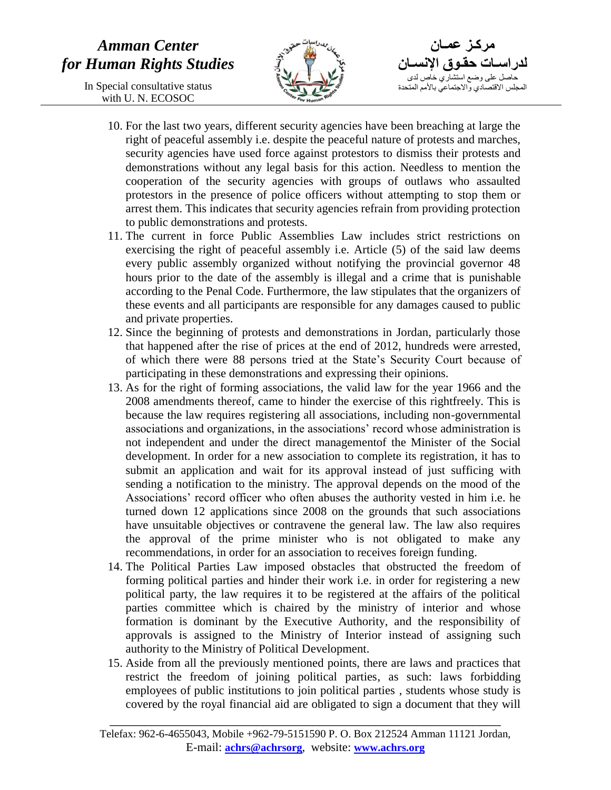

**مركـز عمـان لدراسـات حقـوق اإلنسـان** حاصل على وضع استشاري خاص لدى المجلس الاقتصادي والاجتماعي بالأمم المتحدة

- 10. For the last two years, different security agencies have been breaching at large the right of peaceful assembly i.e. despite the peaceful nature of protests and marches, security agencies have used force against protestors to dismiss their protests and demonstrations without any legal basis for this action. Needless to mention the cooperation of the security agencies with groups of outlaws who assaulted protestors in the presence of police officers without attempting to stop them or arrest them. This indicates that security agencies refrain from providing protection to public demonstrations and protests.
- 11. The current in force Public Assemblies Law includes strict restrictions on exercising the right of peaceful assembly i.e. Article (5) of the said law deems every public assembly organized without notifying the provincial governor 48 hours prior to the date of the assembly is illegal and a crime that is punishable according to the Penal Code. Furthermore, the law stipulates that the organizers of these events and all participants are responsible for any damages caused to public and private properties.
- 12. Since the beginning of protests and demonstrations in Jordan, particularly those that happened after the rise of prices at the end of 2012, hundreds were arrested, of which there were 88 persons tried at the State's Security Court because of participating in these demonstrations and expressing their opinions.
- 13. As for the right of forming associations, the valid law for the year 1966 and the 2008 amendments thereof, came to hinder the exercise of this rightfreely. This is because the law requires registering all associations, including non-governmental associations and organizations, in the associations' record whose administration is not independent and under the direct managementof the Minister of the Social development. In order for a new association to complete its registration, it has to submit an application and wait for its approval instead of just sufficing with sending a notification to the ministry. The approval depends on the mood of the Associations' record officer who often abuses the authority vested in him i.e. he turned down 12 applications since 2008 on the grounds that such associations have unsuitable objectives or contravene the general law. The law also requires the approval of the prime minister who is not obligated to make any recommendations, in order for an association to receives foreign funding.
- 14. The Political Parties Law imposed obstacles that obstructed the freedom of forming political parties and hinder their work i.e. in order for registering a new political party, the law requires it to be registered at the affairs of the political parties committee which is chaired by the ministry of interior and whose formation is dominant by the Executive Authority, and the responsibility of approvals is assigned to the Ministry of Interior instead of assigning such authority to the Ministry of Political Development.
- 15. Aside from all the previously mentioned points, there are laws and practices that restrict the freedom of joining political parties, as such: laws forbidding employees of public institutions to join political parties , students whose study is covered by the royal financial aid are obligated to sign a document that they will

Telefax: 962-6-4655043, Mobile +962-79-5151590 P. O. Box 212524 Amman 11121 Jordan, E-mail: **achrs@achrsorg**, website: **www.achrs.org**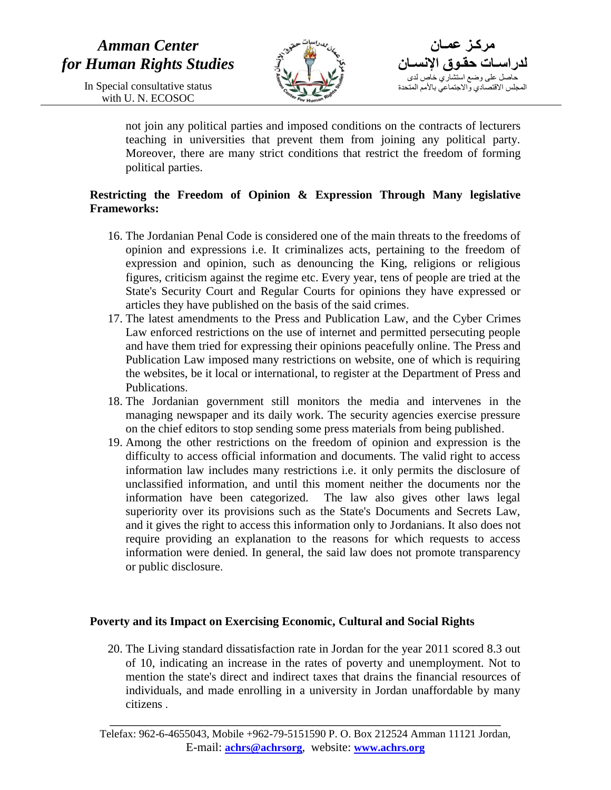

**مركـز عمـان لدراسـات حقـوق اإلنسـان** حاصل على وضع استشاري خاص لدى المجلس الاقتصادي والاجتماعي بالأمم المتحدة

not join any political parties and imposed conditions on the contracts of lecturers teaching in universities that prevent them from joining any political party. Moreover, there are many strict conditions that restrict the freedom of forming political parties.

## **Restricting the Freedom of Opinion & Expression Through Many legislative Frameworks:**

- 16. The Jordanian Penal Code is considered one of the main threats to the freedoms of opinion and expressions i.e. It criminalizes acts, pertaining to the freedom of expression and opinion, such as denouncing the King, religions or religious figures, criticism against the regime etc. Every year, tens of people are tried at the State's Security Court and Regular Courts for opinions they have expressed or articles they have published on the basis of the said crimes.
- 17. The latest amendments to the Press and Publication Law, and the Cyber Crimes Law enforced restrictions on the use of internet and permitted persecuting people and have them tried for expressing their opinions peacefully online. The Press and Publication Law imposed many restrictions on website, one of which is requiring the websites, be it local or international, to register at the Department of Press and Publications.
- 18. The Jordanian government still monitors the media and intervenes in the managing newspaper and its daily work. The security agencies exercise pressure on the chief editors to stop sending some press materials from being published.
- 19. Among the other restrictions on the freedom of opinion and expression is the difficulty to access official information and documents. The valid right to access information law includes many restrictions i.e. it only permits the disclosure of unclassified information, and until this moment neither the documents nor the information have been categorized. The law also gives other laws legal superiority over its provisions such as the State's Documents and Secrets Law, and it gives the right to access this information only to Jordanians. It also does not require providing an explanation to the reasons for which requests to access information were denied. In general, the said law does not promote transparency or public disclosure.

## **Poverty and its Impact on Exercising Economic, Cultural and Social Rights**

20. The Living standard dissatisfaction rate in Jordan for the year 2011 scored 8.3 out of 10, indicating an increase in the rates of poverty and unemployment. Not to mention the state's direct and indirect taxes that drains the financial resources of individuals, and made enrolling in a university in Jordan unaffordable by many citizens .

Telefax: 962-6-4655043, Mobile +962-79-5151590 P. O. Box 212524 Amman 11121 Jordan, E-mail: **achrs@achrsorg**, website: **www.achrs.org**